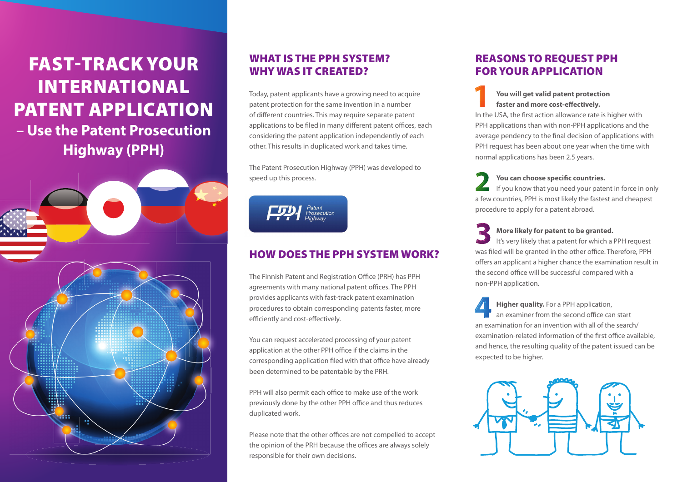# **FAST-TRACK YOUR INTERNATIONAL PATENT APPLICATION – Use the Patent Prosecution Highway (PPH)**



## **WHAT IS THE PPH SYSTEM? WHY WAS IT CREATED?**

Today, patent applicants have a growing need to acquire patent protection for the same invention in a number of different countries. This may require separate patent applications to be filed in many different patent offices, each considering the patent application independently of each other. This results in duplicated work and takes time.

The Patent Prosecution Highway (PPH) was developed to speed up this process.



### **HOW DOES THE PPH SYSTEM WORK?**

The Finnish Patent and Registration Office (PRH) has PPH agreements with many national patent offices. The PPH provides applicants with fast-track patent examination procedures to obtain corresponding patents faster, more efficiently and cost-effectively.

You can request accelerated processing of your patent application at the other PPH office if the claims in the corresponding application filed with that office have already been determined to be patentable by the PRH.

PPH will also permit each office to make use of the work previously done by the other PPH office and thus reduces duplicated work.

Please note that the other offices are not compelled to accept the opinion of the PRH because the offices are always solely responsible for their own decisions.

## **REASONS TO REQUEST PPH FOR YOUR APPLICATION**

**You will get valid patent protection**  faster and more cost-effectively.

In the USA, the first action allowance rate is higher with PPH applications than with non-PPH applications and the average pendency to the final decision of applications with PPH request has been about one year when the time with normal applications has been 2.5 years.

**You can choose specific countries.** If you know that you need your patent in force in only a few countries, PPH is most likely the fastest and cheapest procedure to apply for a patent abroad.

**More likely for patent to be granted.**  It's very likely that a patent for which a PPH request was filed will be granted in the other office. Therefore, PPH offers an applicant a higher chance the examination result in the second office will be successful compared with a non-PPH application.

**Higher quality.** For a PPH application,  $\Box$  an examiner from the second office can start an examination for an invention with all of the search/examination-related information of the first office available. and hence, the resulting quality of the patent issued can be expected to be higher.